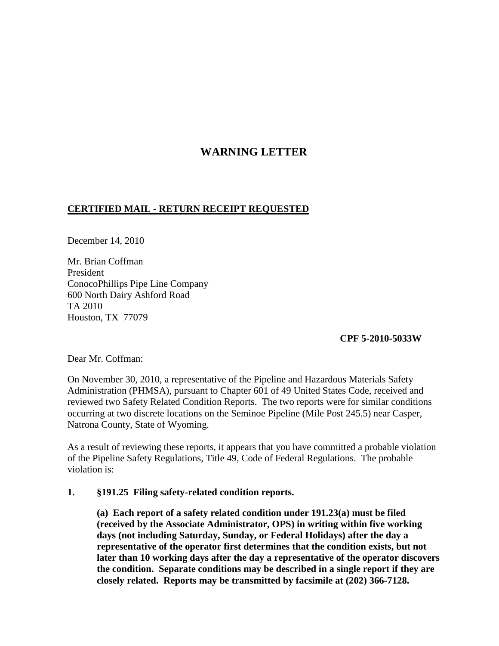## **WARNING LETTER**

## **CERTIFIED MAIL - RETURN RECEIPT REQUESTED**

December 14, 2010

Mr. Brian Coffman President ConocoPhillips Pipe Line Company 600 North Dairy Ashford Road TA 2010 Houston, TX 77079

 **CPF 5-2010-5033W**

Dear Mr. Coffman:

On November 30, 2010, a representative of the Pipeline and Hazardous Materials Safety Administration (PHMSA), pursuant to Chapter 601 of 49 United States Code, received and reviewed two Safety Related Condition Reports. The two reports were for similar conditions occurring at two discrete locations on the Seminoe Pipeline (Mile Post 245.5) near Casper, Natrona County, State of Wyoming.

As a result of reviewing these reports, it appears that you have committed a probable violation of the Pipeline Safety Regulations, Title 49, Code of Federal Regulations. The probable violation is:

## **1. §191.25 Filing safety-related condition reports.**

**(a) Each report of a safety related condition under 191.23(a) must be filed (received by the Associate Administrator, OPS) in writing within five working days (not including Saturday, Sunday, or Federal Holidays) after the day a representative of the operator first determines that the condition exists, but not later than 10 working days after the day a representative of the operator discovers the condition. Separate conditions may be described in a single report if they are closely related. Reports may be transmitted by facsimile at (202) 366-7128.**